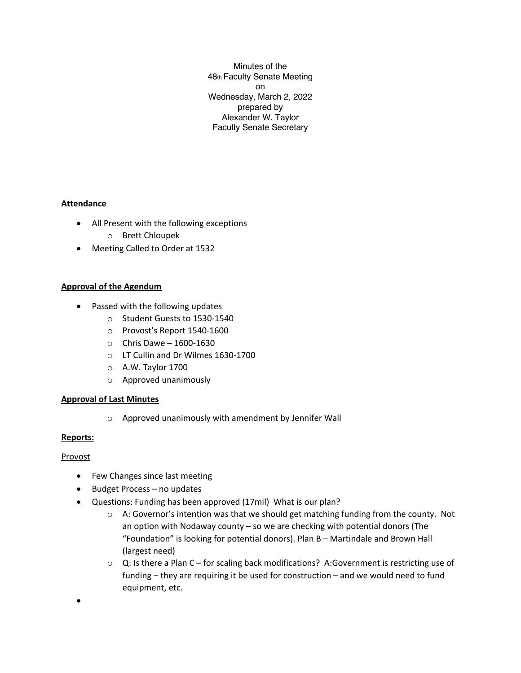Minutes of the 48th Faculty Senate Meeting on Wednesday, March 2, 2022 prepared by Alexander W. Taylor Faculty Senate Secretary

## **Attendance**

- All Present with the following exceptions o Brett Chloupek
- Meeting Called to Order at 1532

# **Approval of the Agendum**

- Passed with the following updates
	- o Student Guests to 1530-1540
	- o Provost's Report 1540-1600
	- $\circ$  Chris Dawe 1600-1630
	- o LT Cullin and Dr Wilmes 1630-1700
	- o A.W. Taylor 1700
	- o Approved unanimously

## **Approval of Last Minutes**

o Approved unanimously with amendment by Jennifer Wall

## **Reports:**

## Provost

•

- Few Changes since last meeting
- Budget Process no updates
- Questions: Funding has been approved (17mil) What is our plan?
	- $\circ$  A: Governor's intention was that we should get matching funding from the county. Not an option with Nodaway county – so we are checking with potential donors (The "Foundation" is looking for potential donors). Plan B – Martindale and Brown Hall (largest need)
	- $\circ$  Q: Is there a Plan C for scaling back modifications? A:Government is restricting use of funding – they are requiring it be used for construction – and we would need to fund equipment, etc.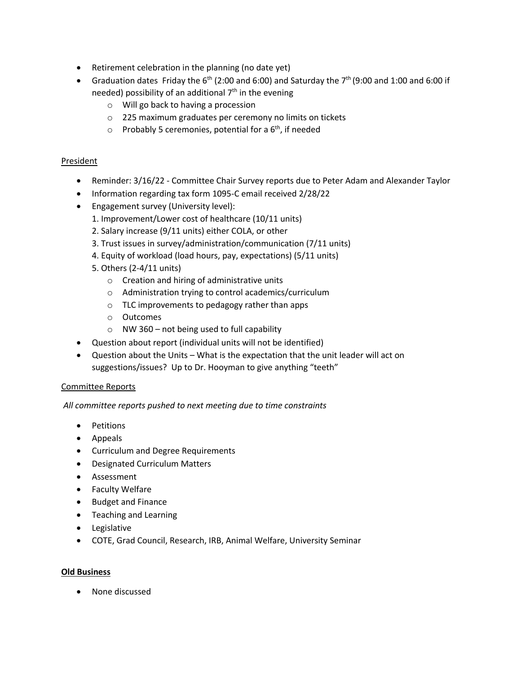- Retirement celebration in the planning (no date yet)
- Graduation dates Friday the  $6<sup>th</sup>$  (2:00 and 6:00) and Saturday the  $7<sup>th</sup>$  (9:00 and 1:00 and 6:00 if needed) possibility of an additional  $7<sup>th</sup>$  in the evening
	- o Will go back to having a procession
	- o 225 maximum graduates per ceremony no limits on tickets
	- $\circ$  Probably 5 ceremonies, potential for a  $6<sup>th</sup>$ , if needed

#### President

- Reminder: 3/16/22 Committee Chair Survey reports due to Peter Adam and Alexander Taylor
- Information regarding tax form 1095-C email received 2/28/22
- Engagement survey (University level):
	- 1. Improvement/Lower cost of healthcare (10/11 units)
	- 2. Salary increase (9/11 units) either COLA, or other
	- 3. Trust issues in survey/administration/communication (7/11 units)
	- 4. Equity of workload (load hours, pay, expectations) (5/11 units)
	- 5. Others (2-4/11 units)
		- o Creation and hiring of administrative units
		- o Administration trying to control academics/curriculum
		- o TLC improvements to pedagogy rather than apps
		- o Outcomes
		- $\circ$  NW 360 not being used to full capability
- Question about report (individual units will not be identified)
- Question about the Units What is the expectation that the unit leader will act on suggestions/issues? Up to Dr. Hooyman to give anything "teeth"

#### Committee Reports

*All committee reports pushed to next meeting due to time constraints*

- Petitions
- Appeals
- Curriculum and Degree Requirements
- Designated Curriculum Matters
- Assessment
- Faculty Welfare
- Budget and Finance
- Teaching and Learning
- Legislative
- COTE, Grad Council, Research, IRB, Animal Welfare, University Seminar

#### **Old Business**

• None discussed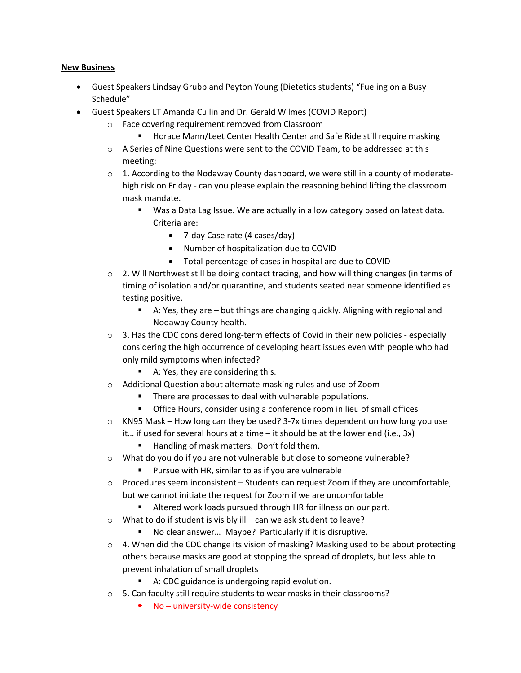#### **New Business**

- Guest Speakers Lindsay Grubb and Peyton Young (Dietetics students) "Fueling on a Busy Schedule"
- Guest Speakers LT Amanda Cullin and Dr. Gerald Wilmes (COVID Report)
	- o Face covering requirement removed from Classroom
		- Horace Mann/Leet Center Health Center and Safe Ride still require masking
	- o A Series of Nine Questions were sent to the COVID Team, to be addressed at this meeting:
	- $\circ$  1. According to the Nodaway County dashboard, we were still in a county of moderatehigh risk on Friday - can you please explain the reasoning behind lifting the classroom mask mandate.
		- Was a Data Lag Issue. We are actually in a low category based on latest data. Criteria are:
			- 7-day Case rate (4 cases/day)
			- Number of hospitalization due to COVID
			- Total percentage of cases in hospital are due to COVID
	- $\circ$  2. Will Northwest still be doing contact tracing, and how will thing changes (in terms of timing of isolation and/or quarantine, and students seated near someone identified as testing positive.
		- A: Yes, they are but things are changing quickly. Aligning with regional and Nodaway County health.
	- $\circ$  3. Has the CDC considered long-term effects of Covid in their new policies especially considering the high occurrence of developing heart issues even with people who had only mild symptoms when infected?
		- A: Yes, they are considering this.
	- o Additional Question about alternate masking rules and use of Zoom
		- There are processes to deal with vulnerable populations.
		- Office Hours, consider using a conference room in lieu of small offices
	- $\circ$  KN95 Mask How long can they be used? 3-7x times dependent on how long you use it… if used for several hours at a time – it should be at the lower end (i.e., 3x)
		- Handling of mask matters. Don't fold them.
	- o What do you do if you are not vulnerable but close to someone vulnerable?
		- Pursue with HR, similar to as if you are vulnerable
	- $\circ$  Procedures seem inconsistent Students can request Zoom if they are uncomfortable, but we cannot initiate the request for Zoom if we are uncomfortable
		- Altered work loads pursued through HR for illness on our part.
	- $\circ$  What to do if student is visibly ill can we ask student to leave?
		- No clear answer... Maybe? Particularly if it is disruptive.
	- $\circ$  4. When did the CDC change its vision of masking? Masking used to be about protecting others because masks are good at stopping the spread of droplets, but less able to prevent inhalation of small droplets
		- A: CDC guidance is undergoing rapid evolution.
	- o 5. Can faculty still require students to wear masks in their classrooms?
		- $\blacksquare$  No university-wide consistency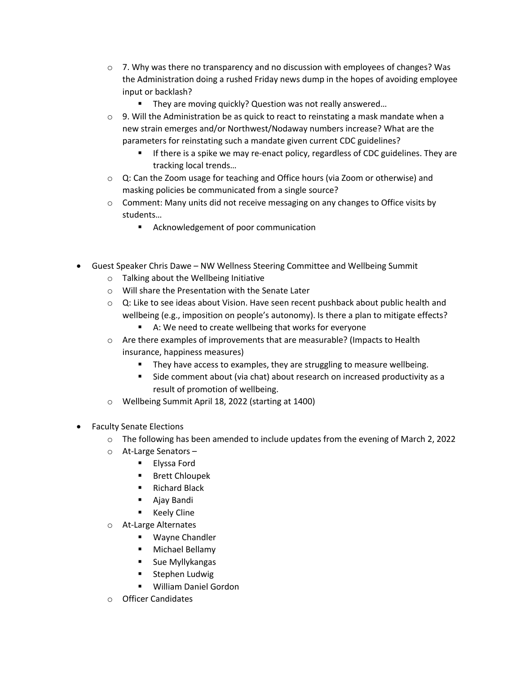- $\circ$  7. Why was there no transparency and no discussion with employees of changes? Was the Administration doing a rushed Friday news dump in the hopes of avoiding employee input or backlash?
	- They are moving quickly? Question was not really answered...
- $\circ$  9. Will the Administration be as quick to react to reinstating a mask mandate when a new strain emerges and/or Northwest/Nodaway numbers increase? What are the parameters for reinstating such a mandate given current CDC guidelines?
	- **•** If there is a spike we may re-enact policy, regardless of CDC guidelines. They are tracking local trends…
- o Q: Can the Zoom usage for teaching and Office hours (via Zoom or otherwise) and masking policies be communicated from a single source?
- $\circ$  Comment: Many units did not receive messaging on any changes to Office visits by students…
	- Acknowledgement of poor communication
- Guest Speaker Chris Dawe NW Wellness Steering Committee and Wellbeing Summit
	- o Talking about the Wellbeing Initiative
	- o Will share the Presentation with the Senate Later
	- $\circ$  Q: Like to see ideas about Vision. Have seen recent pushback about public health and wellbeing (e.g., imposition on people's autonomy). Is there a plan to mitigate effects?
		- A: We need to create wellbeing that works for everyone
	- o Are there examples of improvements that are measurable? (Impacts to Health insurance, happiness measures)
		- They have access to examples, they are struggling to measure wellbeing.
		- Side comment about (via chat) about research on increased productivity as a result of promotion of wellbeing.
	- o Wellbeing Summit April 18, 2022 (starting at 1400)
- Faculty Senate Elections
	- $\circ$  The following has been amended to include updates from the evening of March 2, 2022
	- o At-Large Senators
		- Elyssa Ford
		- Brett Chloupek
		- Richard Black
		- Ajay Bandi
		- Keely Cline
	- o At-Large Alternates
		- Wayne Chandler
		- Michael Bellamy
		- Sue Myllykangas
		- § Stephen Ludwig
		- William Daniel Gordon
	- o Officer Candidates